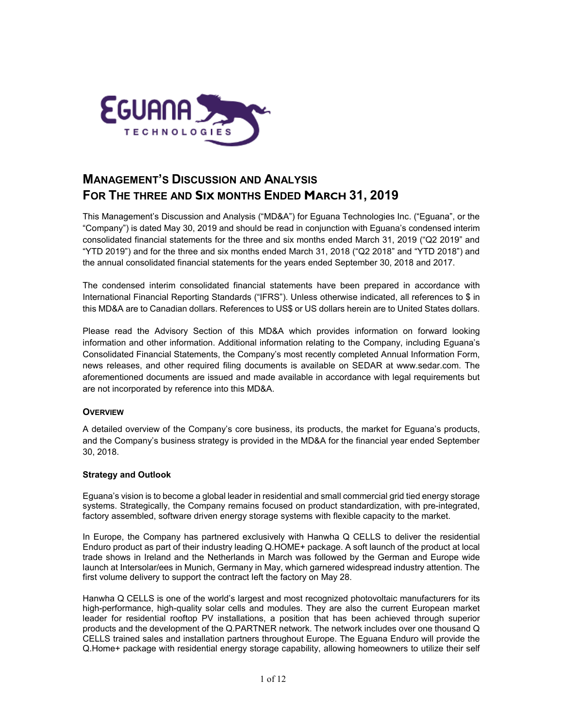

# **MANAGEMENT'S DISCUSSION AND ANALYSIS FOR THE THREE AND SIX MONTHS ENDED MARCH 31, 2019**

This Management's Discussion and Analysis ("MD&A") for Eguana Technologies Inc. ("Eguana", or the "Company") is dated May 30, 2019 and should be read in conjunction with Eguana's condensed interim consolidated financial statements for the three and six months ended March 31, 2019 ("Q2 2019" and "YTD 2019") and for the three and six months ended March 31, 2018 ("Q2 2018" and "YTD 2018") and the annual consolidated financial statements for the years ended September 30, 2018 and 2017.

The condensed interim consolidated financial statements have been prepared in accordance with International Financial Reporting Standards ("IFRS"). Unless otherwise indicated, all references to \$ in this MD&A are to Canadian dollars. References to US\$ or US dollars herein are to United States dollars.

Please read the Advisory Section of this MD&A which provides information on forward looking information and other information. Additional information relating to the Company, including Eguana's Consolidated Financial Statements, the Company's most recently completed Annual Information Form, news releases, and other required filing documents is available on SEDAR at [www.sedar.com.](http://www.sedar.com/) The aforementioned documents are issued and made available in accordance with legal requirements but are not incorporated by reference into this MD&A.

# **OVERVIEW**

A detailed overview of the Company's core business, its products, the market for Eguana's products, and the Company's business strategy is provided in the MD&A for the financial year ended September 30, 2018.

## **Strategy and Outlook**

Eguana's vision is to become a global leader in residential and small commercial grid tied energy storage systems. Strategically, the Company remains focused on product standardization, with pre-integrated, factory assembled, software driven energy storage systems with flexible capacity to the market.

In Europe, the Company has partnered exclusively with Hanwha Q CELLS to deliver the residential Enduro product as part of their industry leading Q.HOME+ package. A soft launch of the product at local trade shows in Ireland and the Netherlands in March was followed by the German and Europe wide launch at Intersolar/ees in Munich, Germany in May, which garnered widespread industry attention. The first volume delivery to support the contract left the factory on May 28.

Hanwha Q CELLS is one of the world's largest and most recognized photovoltaic manufacturers for its high-performance, high-quality solar cells and modules. They are also the current European market leader for residential rooftop PV installations, a position that has been achieved through superior products and the development of the Q.PARTNER network. The network includes over one thousand Q CELLS trained sales and installation partners throughout Europe. The Eguana Enduro will provide the Q.Home+ package with residential energy storage capability, allowing homeowners to utilize their self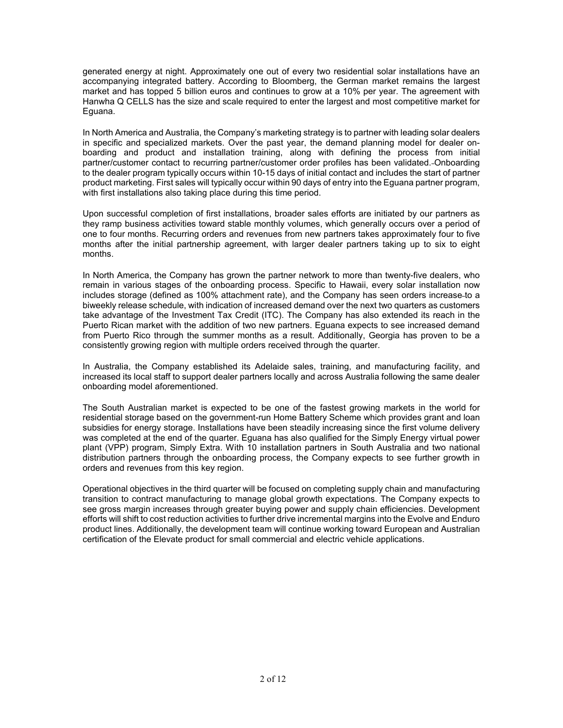generated energy at night. Approximately one out of every two residential solar installations have an accompanying integrated battery. According to Bloomberg, the German market remains the largest market and has topped 5 billion euros and continues to grow at a 10% per year. The agreement with Hanwha Q CELLS has the size and scale required to enter the largest and most competitive market for Eguana.

In North America and Australia, the Company's marketing strategy is to partner with leading solar dealers in specific and specialized markets. Over the past year, the demand planning model for dealer onboarding and product and installation training, along with defining the process from initial partner/customer contact to recurring partner/customer order profiles has been validated. Onboarding to the dealer program typically occurs within 10-15 days of initial contact and includes the start of partner product marketing. First sales will typically occur within 90 days of entry into the Eguana partner program, with first installations also taking place during this time period.

Upon successful completion of first installations, broader sales efforts are initiated by our partners as they ramp business activities toward stable monthly volumes, which generally occurs over a period of one to four months. Recurring orders and revenues from new partners takes approximately four to five months after the initial partnership agreement, with larger dealer partners taking up to six to eight months.

In North America, the Company has grown the partner network to more than twenty-five dealers, who remain in various stages of the onboarding process. Specific to Hawaii, every solar installation now includes storage (defined as 100% attachment rate), and the Company has seen orders increase to a biweekly release schedule, with indication of increased demand over the next two quarters as customers take advantage of the Investment Tax Credit (ITC). The Company has also extended its reach in the Puerto Rican market with the addition of two new partners. Eguana expects to see increased demand from Puerto Rico through the summer months as a result. Additionally, Georgia has proven to be a consistently growing region with multiple orders received through the quarter.

In Australia, the Company established its Adelaide sales, training, and manufacturing facility, and increased its local staff to support dealer partners locally and across Australia following the same dealer onboarding model aforementioned.

The South Australian market is expected to be one of the fastest growing markets in the world for residential storage based on the government-run Home Battery Scheme which provides grant and loan subsidies for energy storage. Installations have been steadily increasing since the first volume delivery was completed at the end of the quarter. Eguana has also qualified for the Simply Energy virtual power plant (VPP) program, Simply Extra. With 10 installation partners in South Australia and two national distribution partners through the onboarding process, the Company expects to see further growth in orders and revenues from this key region.

Operational objectives in the third quarter will be focused on completing supply chain and manufacturing transition to contract manufacturing to manage global growth expectations. The Company expects to see gross margin increases through greater buying power and supply chain efficiencies. Development efforts will shift to cost reduction activities to further drive incremental margins into the Evolve and Enduro product lines. Additionally, the development team will continue working toward European and Australian certification of the Elevate product for small commercial and electric vehicle applications.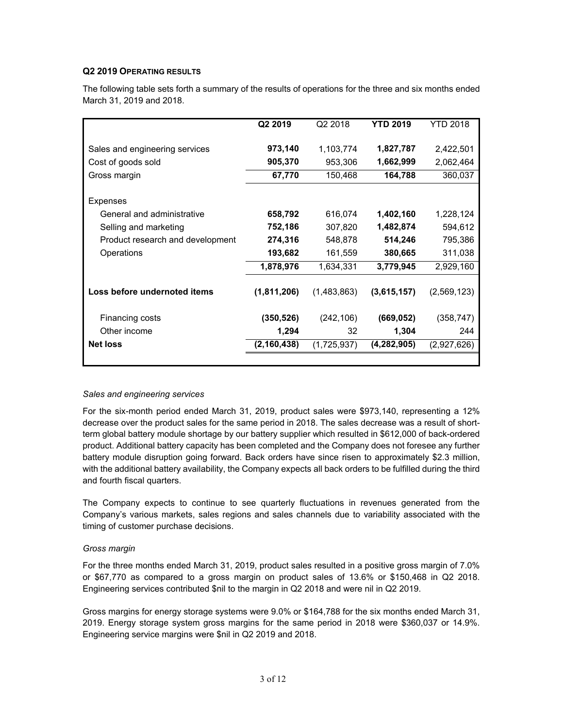# **Q2 2019 OPERATING RESULTS**

The following table sets forth a summary of the results of operations for the three and six months ended March 31, 2019 and 2018.

|                                  | Q2 2019       | Q <sub>2</sub> 2018 | <b>YTD 2019</b> | YTD 2018    |
|----------------------------------|---------------|---------------------|-----------------|-------------|
| Sales and engineering services   | 973,140       | 1,103,774           | 1,827,787       | 2,422,501   |
| Cost of goods sold               | 905,370       | 953,306             | 1,662,999       | 2,062,464   |
| Gross margin                     | 67,770        | 150,468             | 164,788         | 360,037     |
| Expenses                         |               |                     |                 |             |
| General and administrative       | 658,792       | 616,074             | 1,402,160       | 1,228,124   |
| Selling and marketing            | 752,186       | 307,820             | 1,482,874       | 594,612     |
| Product research and development | 274,316       | 548,878             | 514,246         | 795,386     |
| Operations                       | 193,682       | 161,559             | 380,665         | 311,038     |
|                                  | 1,878,976     | 1,634,331           | 3,779,945       | 2,929,160   |
| Loss before undernoted items     | (1,811,206)   | (1,483,863)         | (3,615,157)     | (2,569,123) |
| Financing costs                  | (350, 526)    | (242, 106)          | (669, 052)      | (358, 747)  |
| Other income                     | 1,294         | 32                  | 1,304           | 244         |
| <b>Net loss</b>                  | (2, 160, 438) | (1,725,937)         | (4, 282, 905)   | (2,927,626) |
|                                  |               |                     |                 |             |

## *Sales and engineering services*

For the six-month period ended March 31, 2019, product sales were \$973,140, representing a 12% decrease over the product sales for the same period in 2018. The sales decrease was a result of shortterm global battery module shortage by our battery supplier which resulted in \$612,000 of back-ordered product. Additional battery capacity has been completed and the Company does not foresee any further battery module disruption going forward. Back orders have since risen to approximately \$2.3 million, with the additional battery availability, the Company expects all back orders to be fulfilled during the third and fourth fiscal quarters.

The Company expects to continue to see quarterly fluctuations in revenues generated from the Company's various markets, sales regions and sales channels due to variability associated with the timing of customer purchase decisions.

## *Gross margin*

For the three months ended March 31, 2019, product sales resulted in a positive gross margin of 7.0% or \$67,770 as compared to a gross margin on product sales of 13.6% or \$150,468 in Q2 2018. Engineering services contributed \$nil to the margin in Q2 2018 and were nil in Q2 2019.

Gross margins for energy storage systems were 9.0% or \$164,788 for the six months ended March 31, 2019. Energy storage system gross margins for the same period in 2018 were \$360,037 or 14.9%. Engineering service margins were \$nil in Q2 2019 and 2018.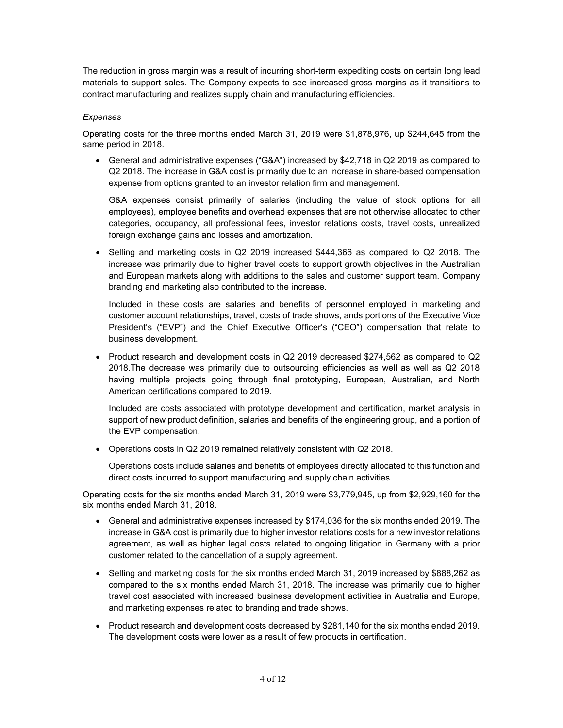The reduction in gross margin was a result of incurring short-term expediting costs on certain long lead materials to support sales. The Company expects to see increased gross margins as it transitions to contract manufacturing and realizes supply chain and manufacturing efficiencies.

# *Expenses*

Operating costs for the three months ended March 31, 2019 were \$1,878,976, up \$244,645 from the same period in 2018.

• General and administrative expenses ("G&A") increased by \$42,718 in Q2 2019 as compared to Q2 2018. The increase in G&A cost is primarily due to an increase in share-based compensation expense from options granted to an investor relation firm and management.

G&A expenses consist primarily of salaries (including the value of stock options for all employees), employee benefits and overhead expenses that are not otherwise allocated to other categories, occupancy, all professional fees, investor relations costs, travel costs, unrealized foreign exchange gains and losses and amortization.

• Selling and marketing costs in Q2 2019 increased \$444,366 as compared to Q2 2018. The increase was primarily due to higher travel costs to support growth objectives in the Australian and European markets along with additions to the sales and customer support team. Company branding and marketing also contributed to the increase.

Included in these costs are salaries and benefits of personnel employed in marketing and customer account relationships, travel, costs of trade shows, ands portions of the Executive Vice President's ("EVP") and the Chief Executive Officer's ("CEO") compensation that relate to business development.

• Product research and development costs in Q2 2019 decreased \$274,562 as compared to Q2 2018.The decrease was primarily due to outsourcing efficiencies as well as well as Q2 2018 having multiple projects going through final prototyping, European, Australian, and North American certifications compared to 2019.

Included are costs associated with prototype development and certification, market analysis in support of new product definition, salaries and benefits of the engineering group, and a portion of the EVP compensation.

• Operations costs in Q2 2019 remained relatively consistent with Q2 2018.

Operations costs include salaries and benefits of employees directly allocated to this function and direct costs incurred to support manufacturing and supply chain activities.

Operating costs for the six months ended March 31, 2019 were \$3,779,945, up from \$2,929,160 for the six months ended March 31, 2018.

- General and administrative expenses increased by \$174,036 for the six months ended 2019. The increase in G&A cost is primarily due to higher investor relations costs for a new investor relations agreement, as well as higher legal costs related to ongoing litigation in Germany with a prior customer related to the cancellation of a supply agreement.
- Selling and marketing costs for the six months ended March 31, 2019 increased by \$888,262 as compared to the six months ended March 31, 2018. The increase was primarily due to higher travel cost associated with increased business development activities in Australia and Europe, and marketing expenses related to branding and trade shows.
- Product research and development costs decreased by \$281,140 for the six months ended 2019. The development costs were lower as a result of few products in certification.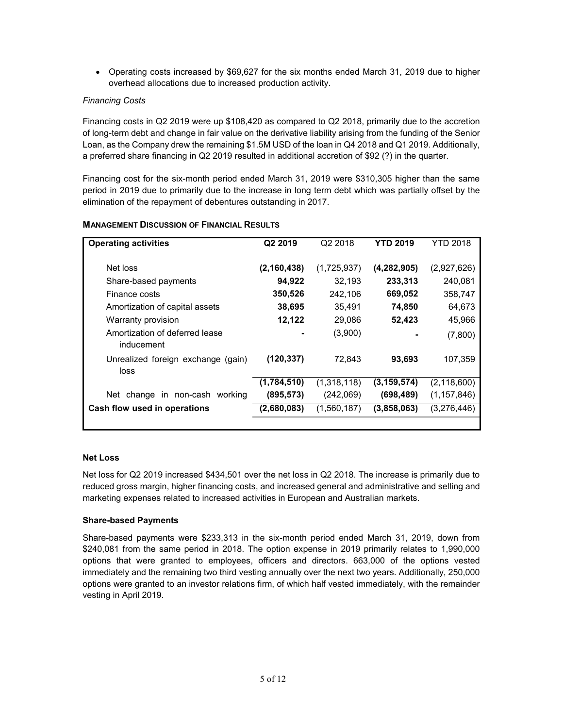• Operating costs increased by \$69,627 for the six months ended March 31, 2019 due to higher overhead allocations due to increased production activity.

# *Financing Costs*

Financing costs in Q2 2019 were up \$108,420 as compared to Q2 2018, primarily due to the accretion of long-term debt and change in fair value on the derivative liability arising from the funding of the Senior Loan, as the Company drew the remaining \$1.5M USD of the loan in Q4 2018 and Q1 2019. Additionally, a preferred share financing in Q2 2019 resulted in additional accretion of \$92 (?) in the quarter.

Financing cost for the six-month period ended March 31, 2019 were \$310,305 higher than the same period in 2019 due to primarily due to the increase in long term debt which was partially offset by the elimination of the repayment of debentures outstanding in 2017.

| <b>Operating activities</b>                  | Q2 2019       | Q2 2018     | YTD 2019      | YTD 2018      |
|----------------------------------------------|---------------|-------------|---------------|---------------|
| Net loss                                     | (2, 160, 438) | (1,725,937) | (4, 282, 905) | (2,927,626)   |
| Share-based payments                         | 94,922        | 32,193      | 233,313       | 240,081       |
| Finance costs                                | 350,526       | 242,106     | 669,052       | 358,747       |
| Amortization of capital assets               | 38,695        | 35,491      | 74,850        | 64,673        |
| Warranty provision                           | 12,122        | 29,086      | 52,423        | 45,966        |
| Amortization of deferred lease<br>inducement |               | (3,900)     |               | (7,800)       |
| Unrealized foreign exchange (gain)<br>loss   | (120, 337)    | 72,843      | 93,693        | 107,359       |
|                                              | (1,784,510)   | (1,318,118) | (3, 159, 574) | (2, 118, 600) |
| Net change in non-cash working               | (895, 573)    | (242,069)   | (698, 489)    | (1, 157, 846) |
| Cash flow used in operations                 | (2,680,083)   | (1,560,187) | (3,858,063)   | (3,276,446)   |

# **MANAGEMENT DISCUSSION OF FINANCIAL RESULTS**

## **Net Loss**

Net loss for Q2 2019 increased \$434,501 over the net loss in Q2 2018. The increase is primarily due to reduced gross margin, higher financing costs, and increased general and administrative and selling and marketing expenses related to increased activities in European and Australian markets.

## **Share-based Payments**

Share-based payments were \$233,313 in the six-month period ended March 31, 2019, down from \$240,081 from the same period in 2018. The option expense in 2019 primarily relates to 1,990,000 options that were granted to employees, officers and directors. 663,000 of the options vested immediately and the remaining two third vesting annually over the next two years. Additionally, 250,000 options were granted to an investor relations firm, of which half vested immediately, with the remainder vesting in April 2019.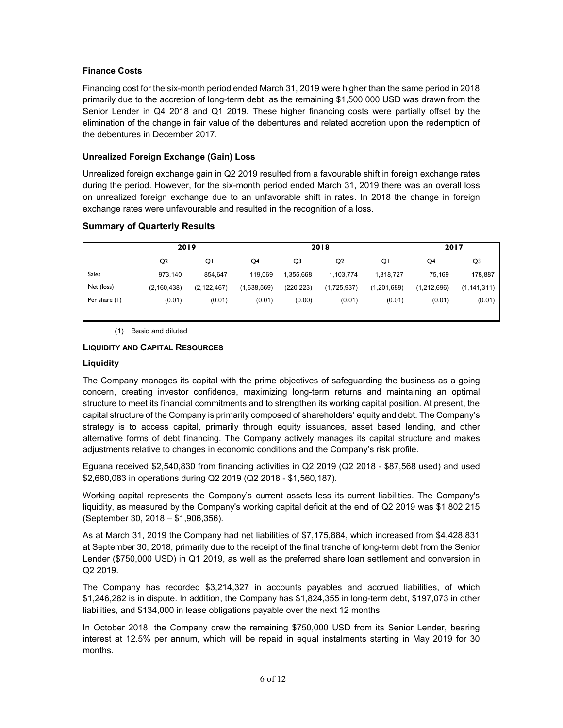# **Finance Costs**

Financing cost for the six-month period ended March 31, 2019 were higher than the same period in 2018 primarily due to the accretion of long-term debt, as the remaining \$1,500,000 USD was drawn from the Senior Lender in Q4 2018 and Q1 2019. These higher financing costs were partially offset by the elimination of the change in fair value of the debentures and related accretion upon the redemption of the debentures in December 2017.

# **Unrealized Foreign Exchange (Gain) Loss**

Unrealized foreign exchange gain in Q2 2019 resulted from a favourable shift in foreign exchange rates during the period. However, for the six-month period ended March 31, 2019 there was an overall loss on unrealized foreign exchange due to an unfavorable shift in rates. In 2018 the change in foreign exchange rates were unfavourable and resulted in the recognition of a loss.

# **Summary of Quarterly Results**

|               | 2019           |               | 2018        |            |                |             | 2017        |               |
|---------------|----------------|---------------|-------------|------------|----------------|-------------|-------------|---------------|
|               | O <sub>2</sub> | Q             | Q4          | Q3         | Q <sub>2</sub> | QΙ          | Q4          | Q3            |
| <b>Sales</b>  | 973.140        | 854.647       | 119.069     | 1,355,668  | 1,103,774      | 1,318,727   | 75.169      | 178,887       |
| Net (loss)    | (2, 160, 438)  | (2, 122, 467) | (1,638,569) | (220, 223) | (1,725,937)    | (1,201,689) | (1,212,696) | (1, 141, 311) |
| Per share (1) | (0.01)         | (0.01)        | (0.01)      | (0.00)     | (0.01)         | (0.01)      | (0.01)      | (0.01)        |

(1) Basic and diluted

# **LIQUIDITY AND CAPITAL RESOURCES**

## **Liquidity**

The Company manages its capital with the prime objectives of safeguarding the business as a going concern, creating investor confidence, maximizing long-term returns and maintaining an optimal structure to meet its financial commitments and to strengthen its working capital position. At present, the capital structure of the Company is primarily composed of shareholders' equity and debt. The Company's strategy is to access capital, primarily through equity issuances, asset based lending, and other alternative forms of debt financing. The Company actively manages its capital structure and makes adjustments relative to changes in economic conditions and the Company's risk profile.

Eguana received \$2,540,830 from financing activities in Q2 2019 (Q2 2018 - \$87,568 used) and used \$2,680,083 in operations during Q2 2019 (Q2 2018 - \$1,560,187).

Working capital represents the Company's current assets less its current liabilities. The Company's liquidity, as measured by the Company's working capital deficit at the end of Q2 2019 was \$1,802,215 (September 30, 2018 – \$1,906,356).

As at March 31, 2019 the Company had net liabilities of \$7,175,884, which increased from \$4,428,831 at September 30, 2018, primarily due to the receipt of the final tranche of long-term debt from the Senior Lender (\$750,000 USD) in Q1 2019, as well as the preferred share loan settlement and conversion in Q2 2019.

The Company has recorded \$3,214,327 in accounts payables and accrued liabilities, of which \$1,246,282 is in dispute. In addition, the Company has \$1,824,355 in long-term debt, \$197,073 in other liabilities, and \$134,000 in lease obligations payable over the next 12 months.

In October 2018, the Company drew the remaining \$750,000 USD from its Senior Lender, bearing interest at 12.5% per annum, which will be repaid in equal instalments starting in May 2019 for 30 months.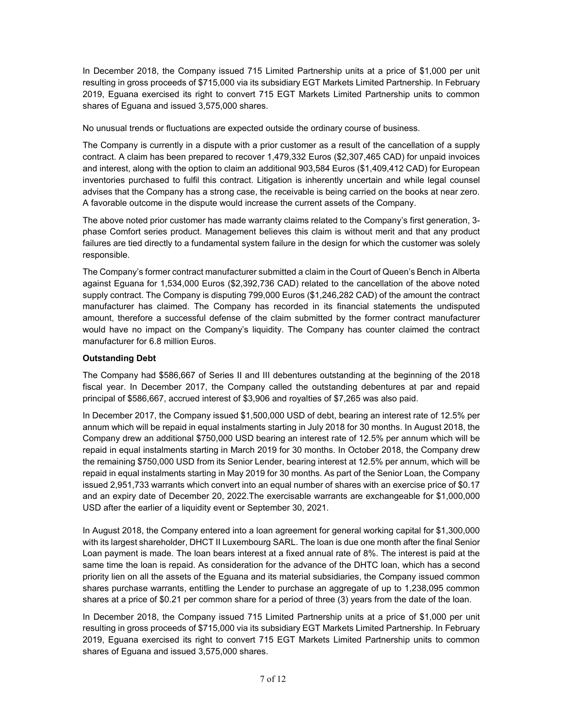In December 2018, the Company issued 715 Limited Partnership units at a price of \$1,000 per unit resulting in gross proceeds of \$715,000 via its subsidiary EGT Markets Limited Partnership. In February 2019, Eguana exercised its right to convert 715 EGT Markets Limited Partnership units to common shares of Eguana and issued 3,575,000 shares.

No unusual trends or fluctuations are expected outside the ordinary course of business.

The Company is currently in a dispute with a prior customer as a result of the cancellation of a supply contract. A claim has been prepared to recover 1,479,332 Euros (\$2,307,465 CAD) for unpaid invoices and interest, along with the option to claim an additional 903,584 Euros (\$1,409,412 CAD) for European inventories purchased to fulfil this contract. Litigation is inherently uncertain and while legal counsel advises that the Company has a strong case, the receivable is being carried on the books at near zero. A favorable outcome in the dispute would increase the current assets of the Company.

The above noted prior customer has made warranty claims related to the Company's first generation, 3 phase Comfort series product. Management believes this claim is without merit and that any product failures are tied directly to a fundamental system failure in the design for which the customer was solely responsible.

The Company's former contract manufacturer submitted a claim in the Court of Queen's Bench in Alberta against Eguana for 1,534,000 Euros (\$2,392,736 CAD) related to the cancellation of the above noted supply contract. The Company is disputing 799,000 Euros (\$1,246,282 CAD) of the amount the contract manufacturer has claimed. The Company has recorded in its financial statements the undisputed amount, therefore a successful defense of the claim submitted by the former contract manufacturer would have no impact on the Company's liquidity. The Company has counter claimed the contract manufacturer for 6.8 million Euros.

# **Outstanding Debt**

The Company had \$586,667 of Series II and III debentures outstanding at the beginning of the 2018 fiscal year. In December 2017, the Company called the outstanding debentures at par and repaid principal of \$586,667, accrued interest of \$3,906 and royalties of \$7,265 was also paid.

In December 2017, the Company issued \$1,500,000 USD of debt, bearing an interest rate of 12.5% per annum which will be repaid in equal instalments starting in July 2018 for 30 months. In August 2018, the Company drew an additional \$750,000 USD bearing an interest rate of 12.5% per annum which will be repaid in equal instalments starting in March 2019 for 30 months. In October 2018, the Company drew the remaining \$750,000 USD from its Senior Lender, bearing interest at 12.5% per annum, which will be repaid in equal instalments starting in May 2019 for 30 months. As part of the Senior Loan, the Company issued 2,951,733 warrants which convert into an equal number of shares with an exercise price of \$0.17 and an expiry date of December 20, 2022.The exercisable warrants are exchangeable for \$1,000,000 USD after the earlier of a liquidity event or September 30, 2021.

In August 2018, the Company entered into a loan agreement for general working capital for \$1,300,000 with its largest shareholder, DHCT II Luxembourg SARL. The loan is due one month after the final Senior Loan payment is made. The loan bears interest at a fixed annual rate of 8%. The interest is paid at the same time the loan is repaid. As consideration for the advance of the DHTC loan, which has a second priority lien on all the assets of the Eguana and its material subsidiaries, the Company issued common shares purchase warrants, entitling the Lender to purchase an aggregate of up to 1,238,095 common shares at a price of \$0.21 per common share for a period of three (3) years from the date of the loan.

In December 2018, the Company issued 715 Limited Partnership units at a price of \$1,000 per unit resulting in gross proceeds of \$715,000 via its subsidiary EGT Markets Limited Partnership. In February 2019, Eguana exercised its right to convert 715 EGT Markets Limited Partnership units to common shares of Eguana and issued 3,575,000 shares.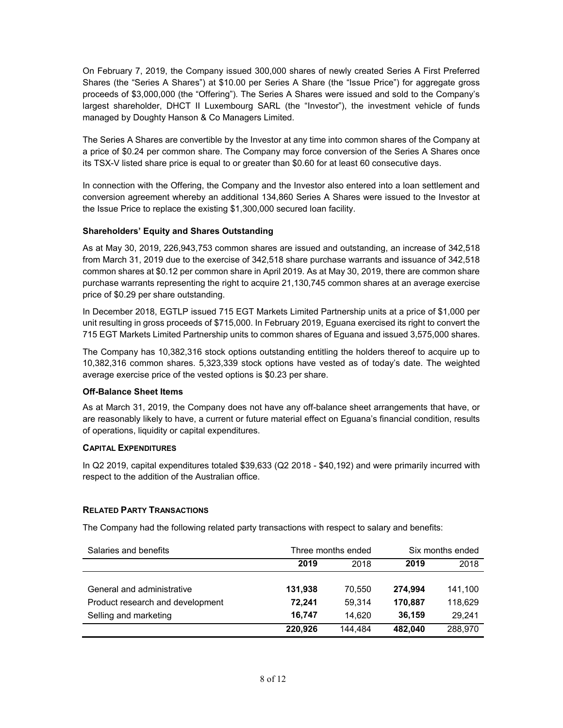On February 7, 2019, the Company issued 300,000 shares of newly created Series A First Preferred Shares (the "Series A Shares") at \$10.00 per Series A Share (the "Issue Price") for aggregate gross proceeds of \$3,000,000 (the "Offering"). The Series A Shares were issued and sold to the Company's largest shareholder, DHCT II Luxembourg SARL (the "Investor"), the investment vehicle of funds managed by Doughty Hanson & Co Managers Limited.

The Series A Shares are convertible by the Investor at any time into common shares of the Company at a price of \$0.24 per common share. The Company may force conversion of the Series A Shares once its TSX-V listed share price is equal to or greater than \$0.60 for at least 60 consecutive days.

In connection with the Offering, the Company and the Investor also entered into a loan settlement and conversion agreement whereby an additional 134,860 Series A Shares were issued to the Investor at the Issue Price to replace the existing \$1,300,000 secured loan facility.

# **Shareholders' Equity and Shares Outstanding**

As at May 30, 2019, 226,943,753 common shares are issued and outstanding, an increase of 342,518 from March 31, 2019 due to the exercise of 342,518 share purchase warrants and issuance of 342,518 common shares at \$0.12 per common share in April 2019. As at May 30, 2019, there are common share purchase warrants representing the right to acquire 21,130,745 common shares at an average exercise price of \$0.29 per share outstanding.

In December 2018, EGTLP issued 715 EGT Markets Limited Partnership units at a price of \$1,000 per unit resulting in gross proceeds of \$715,000. In February 2019, Eguana exercised its right to convert the 715 EGT Markets Limited Partnership units to common shares of Eguana and issued 3,575,000 shares.

The Company has 10,382,316 stock options outstanding entitling the holders thereof to acquire up to 10,382,316 common shares. 5,323,339 stock options have vested as of today's date. The weighted average exercise price of the vested options is \$0.23 per share.

# **Off-Balance Sheet Items**

As at March 31, 2019, the Company does not have any off-balance sheet arrangements that have, or are reasonably likely to have, a current or future material effect on Eguana's financial condition, results of operations, liquidity or capital expenditures.

## **CAPITAL EXPENDITURES**

In Q2 2019, capital expenditures totaled \$39,633 (Q2 2018 - \$40,192) and were primarily incurred with respect to the addition of the Australian office.

# **RELATED PARTY TRANSACTIONS**

The Company had the following related party transactions with respect to salary and benefits:

| Salaries and benefits            |         | Three months ended | Six months ended |         |  |
|----------------------------------|---------|--------------------|------------------|---------|--|
|                                  | 2019    | 2018               | 2019             | 2018    |  |
|                                  |         |                    |                  |         |  |
| General and administrative       | 131,938 | 70.550             | 274.994          | 141,100 |  |
| Product research and development | 72.241  | 59.314             | 170.887          | 118,629 |  |
| Selling and marketing            | 16.747  | 14.620             | 36,159           | 29.241  |  |
|                                  | 220.926 | 144.484            | 482.040          | 288,970 |  |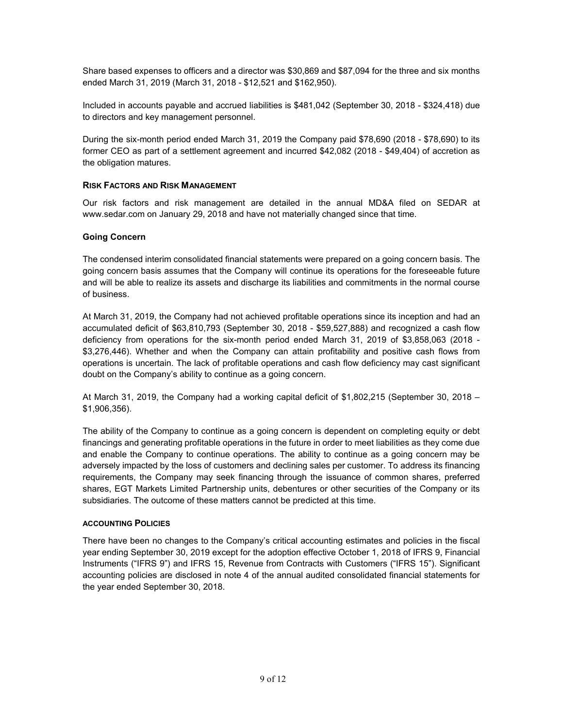Share based expenses to officers and a director was \$30,869 and \$87,094 for the three and six months ended March 31, 2019 (March 31, 2018 - \$12,521 and \$162,950).

Included in accounts payable and accrued liabilities is \$481,042 (September 30, 2018 - \$324,418) due to directors and key management personnel.

During the six-month period ended March 31, 2019 the Company paid \$78,690 (2018 - \$78,690) to its former CEO as part of a settlement agreement and incurred \$42,082 (2018 - \$49,404) of accretion as the obligation matures.

## **RISK FACTORS AND RISK MANAGEMENT**

Our risk factors and risk management are detailed in the annual MD&A filed on SEDAR at [www.sedar.com](http://www.sedar.com/) on January 29, 2018 and have not materially changed since that time.

#### **Going Concern**

The condensed interim consolidated financial statements were prepared on a going concern basis. The going concern basis assumes that the Company will continue its operations for the foreseeable future and will be able to realize its assets and discharge its liabilities and commitments in the normal course of business.

At March 31, 2019, the Company had not achieved profitable operations since its inception and had an accumulated deficit of \$63,810,793 (September 30, 2018 - \$59,527,888) and recognized a cash flow deficiency from operations for the six-month period ended March 31, 2019 of \$3,858,063 (2018 - \$3,276,446). Whether and when the Company can attain profitability and positive cash flows from operations is uncertain. The lack of profitable operations and cash flow deficiency may cast significant doubt on the Company's ability to continue as a going concern.

At March 31, 2019, the Company had a working capital deficit of \$1,802,215 (September 30, 2018 – \$1,906,356).

The ability of the Company to continue as a going concern is dependent on completing equity or debt financings and generating profitable operations in the future in order to meet liabilities as they come due and enable the Company to continue operations. The ability to continue as a going concern may be adversely impacted by the loss of customers and declining sales per customer. To address its financing requirements, the Company may seek financing through the issuance of common shares, preferred shares, EGT Markets Limited Partnership units, debentures or other securities of the Company or its subsidiaries. The outcome of these matters cannot be predicted at this time.

#### **ACCOUNTING POLICIES**

There have been no changes to the Company's critical accounting estimates and policies in the fiscal year ending September 30, 2019 except for the adoption effective October 1, 2018 of IFRS 9, Financial Instruments ("IFRS 9") and IFRS 15, Revenue from Contracts with Customers ("IFRS 15"). Significant accounting policies are disclosed in note 4 of the annual audited consolidated financial statements for the year ended September 30, 2018.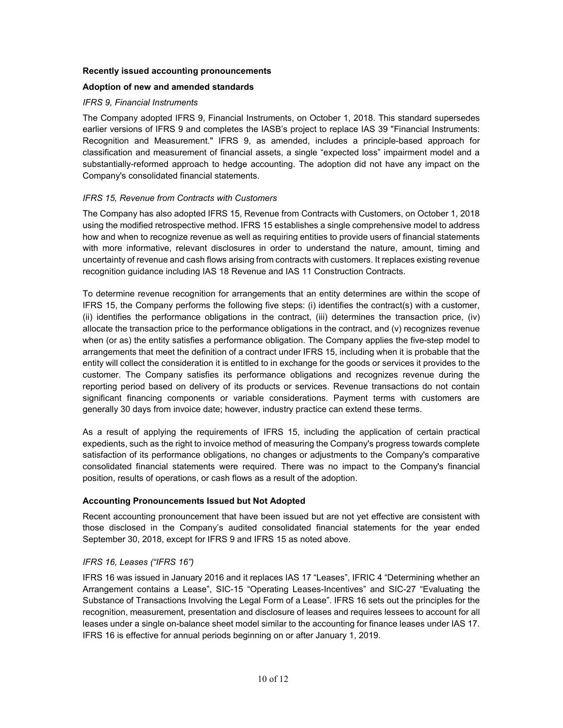# **Recently issued accounting pronouncements**

# **Adoption of new and amended standards**

## *IFRS 9, Financial Instruments*

The Company adopted IFRS 9, Financial Instruments, on October 1, 2018. This standard supersedes earlier versions of IFRS 9 and completes the IASB's project to replace IAS 39 "Financial Instruments: Recognition and Measurement." IFRS 9, as amended, includes a principle-based approach for classification and measurement of financial assets, a single "expected loss" impairment model and a substantially-reformed approach to hedge accounting. The adoption did not have any impact on the Company's consolidated financial statements.

# *IFRS 15, Revenue from Contracts with Customers*

The Company has also adopted IFRS 15, Revenue from Contracts with Customers, on October 1, 2018 using the modified retrospective method. IFRS 15 establishes a single comprehensive model to address how and when to recognize revenue as well as requiring entities to provide users of financial statements with more informative, relevant disclosures in order to understand the nature, amount, timing and uncertainty of revenue and cash flows arising from contracts with customers. It replaces existing revenue recognition guidance including IAS 18 Revenue and IAS 11 Construction Contracts.

To determine revenue recognition for arrangements that an entity determines are within the scope of IFRS 15, the Company performs the following five steps: (i) identifies the contract(s) with a customer, (ii) identifies the performance obligations in the contract, (iii) determines the transaction price, (iv) allocate the transaction price to the performance obligations in the contract, and (v) recognizes revenue when (or as) the entity satisfies a performance obligation. The Company applies the five-step model to arrangements that meet the definition of a contract under IFRS 15, including when it is probable that the entity will collect the consideration it is entitled to in exchange for the goods or services it provides to the customer. The Company satisfies its performance obligations and recognizes revenue during the reporting period based on delivery of its products or services. Revenue transactions do not contain significant financing components or variable considerations. Payment terms with customers are generally 30 days from invoice date; however, industry practice can extend these terms.

As a result of applying the requirements of IFRS 15, including the application of certain practical expedients, such as the right to invoice method of measuring the Company's progress towards complete satisfaction of its performance obligations, no changes or adjustments to the Company's comparative consolidated financial statements were required. There was no impact to the Company's financial position, results of operations, or cash flows as a result of the adoption.

## **Accounting Pronouncements Issued but Not Adopted**

Recent accounting pronouncement that have been issued but are not yet effective are consistent with those disclosed in the Company's audited consolidated financial statements for the year ended September 30, 2018, except for IFRS 9 and IFRS 15 as noted above.

## *IFRS 16, Leases ("IFRS 16")*

IFRS 16 was issued in January 2016 and it replaces IAS 17 "Leases", IFRIC 4 "Determining whether an Arrangement contains a Lease", SIC-15 "Operating Leases-Incentives" and SIC-27 "Evaluating the Substance of Transactions Involving the Legal Form of a Lease". IFRS 16 sets out the principles for the recognition, measurement, presentation and disclosure of leases and requires lessees to account for all leases under a single on-balance sheet model similar to the accounting for finance leases under IAS 17. IFRS 16 is effective for annual periods beginning on or after January 1, 2019.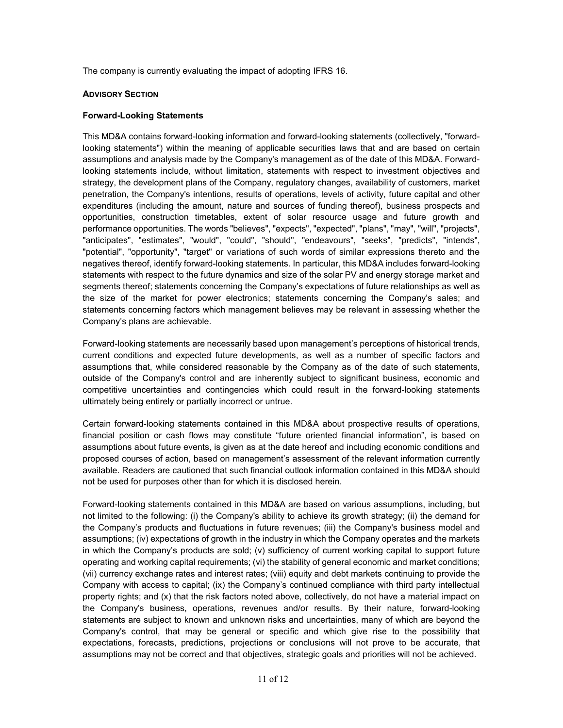The company is currently evaluating the impact of adopting IFRS 16.

# **ADVISORY SECTION**

# **Forward-Looking Statements**

This MD&A contains forward-looking information and forward-looking statements (collectively, "forwardlooking statements") within the meaning of applicable securities laws that and are based on certain assumptions and analysis made by the Company's management as of the date of this MD&A. Forwardlooking statements include, without limitation, statements with respect to investment objectives and strategy, the development plans of the Company, regulatory changes, availability of customers, market penetration, the Company's intentions, results of operations, levels of activity, future capital and other expenditures (including the amount, nature and sources of funding thereof), business prospects and opportunities, construction timetables, extent of solar resource usage and future growth and performance opportunities. The words "believes", "expects", "expected", "plans", "may", "will", "projects", "anticipates", "estimates", "would", "could", "should", "endeavours", "seeks", "predicts", "intends", "potential", "opportunity", "target" or variations of such words of similar expressions thereto and the negatives thereof, identify forward-looking statements. In particular, this MD&A includes forward-looking statements with respect to the future dynamics and size of the solar PV and energy storage market and segments thereof; statements concerning the Company's expectations of future relationships as well as the size of the market for power electronics; statements concerning the Company's sales; and statements concerning factors which management believes may be relevant in assessing whether the Company's plans are achievable.

Forward-looking statements are necessarily based upon management's perceptions of historical trends, current conditions and expected future developments, as well as a number of specific factors and assumptions that, while considered reasonable by the Company as of the date of such statements, outside of the Company's control and are inherently subject to significant business, economic and competitive uncertainties and contingencies which could result in the forward-looking statements ultimately being entirely or partially incorrect or untrue.

Certain forward-looking statements contained in this MD&A about prospective results of operations, financial position or cash flows may constitute "future oriented financial information", is based on assumptions about future events, is given as at the date hereof and including economic conditions and proposed courses of action, based on management's assessment of the relevant information currently available. Readers are cautioned that such financial outlook information contained in this MD&A should not be used for purposes other than for which it is disclosed herein.

Forward-looking statements contained in this MD&A are based on various assumptions, including, but not limited to the following: (i) the Company's ability to achieve its growth strategy; (ii) the demand for the Company's products and fluctuations in future revenues; (iii) the Company's business model and assumptions; (iv) expectations of growth in the industry in which the Company operates and the markets in which the Company's products are sold; (v) sufficiency of current working capital to support future operating and working capital requirements; (vi) the stability of general economic and market conditions; (vii) currency exchange rates and interest rates; (viii) equity and debt markets continuing to provide the Company with access to capital; (ix) the Company's continued compliance with third party intellectual property rights; and (x) that the risk factors noted above, collectively, do not have a material impact on the Company's business, operations, revenues and/or results. By their nature, forward-looking statements are subject to known and unknown risks and uncertainties, many of which are beyond the Company's control, that may be general or specific and which give rise to the possibility that expectations, forecasts, predictions, projections or conclusions will not prove to be accurate, that assumptions may not be correct and that objectives, strategic goals and priorities will not be achieved.